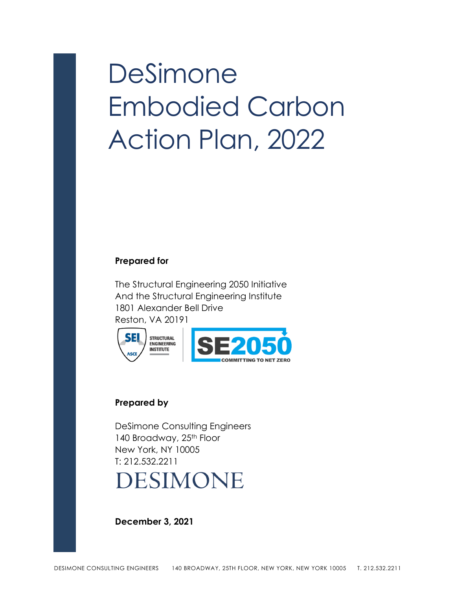# DeSimone Embodied Carbon Action Plan, 2022

#### **Prepared for**

The Structural Engineering 2050 Initiative And the Structural Engineering Institute 1801 Alexander Bell Drive Reston, VA 20191



#### **Prepared by**

SEL

DeSimone Consulting Engineers 140 Broadway, 25<sup>th</sup> Floor New York, NY 10005 T: 212.532.2211 **DESIMONE** 

**December 3, 2021**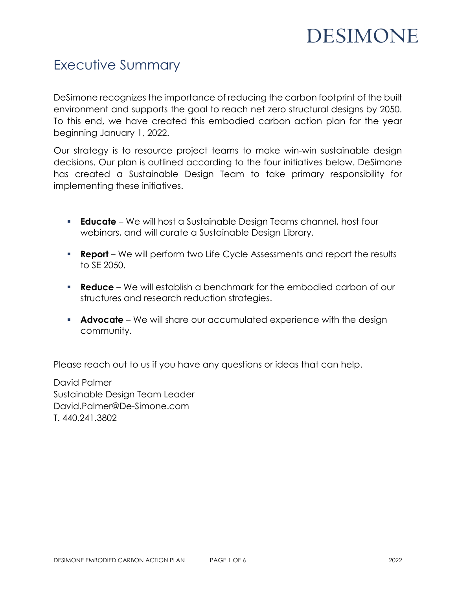### Executive Summary

DeSimone recognizes the importance of reducing the carbon footprint of the built environment and supports the goal to reach net zero structural designs by 2050. To this end, we have created this embodied carbon action plan for the year beginning January 1, 2022.

Our strategy is to resource project teams to make win-win sustainable design decisions. Our plan is outlined according to the four initiatives below. DeSimone has created a Sustainable Design Team to take primary responsibility for implementing these initiatives.

- **Educate** We will host a Sustainable Design Teams channel, host four webinars, and will curate a Sustainable Design Library.
- **Report** We will perform two Life Cycle Assessments and report the results to SE 2050.
- **Reduce** We will establish a benchmark for the embodied carbon of our structures and research reduction strategies.
- **Advocate** We will share our accumulated experience with the design community.

Please reach out to us if you have any questions or ideas that can help.

David Palmer Sustainable Design Team Leader David.Palmer@De-Simone.com T. 440.241.3802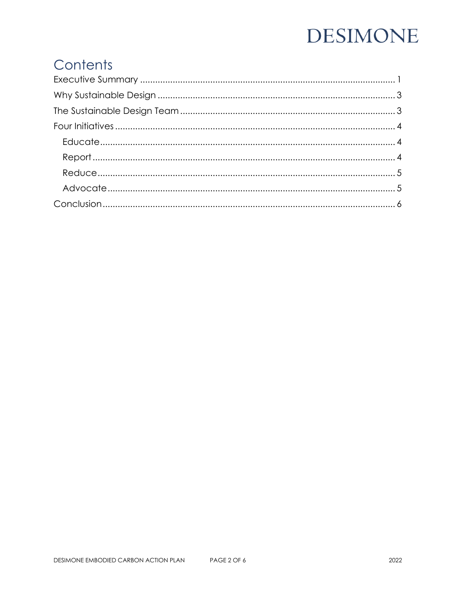## Contents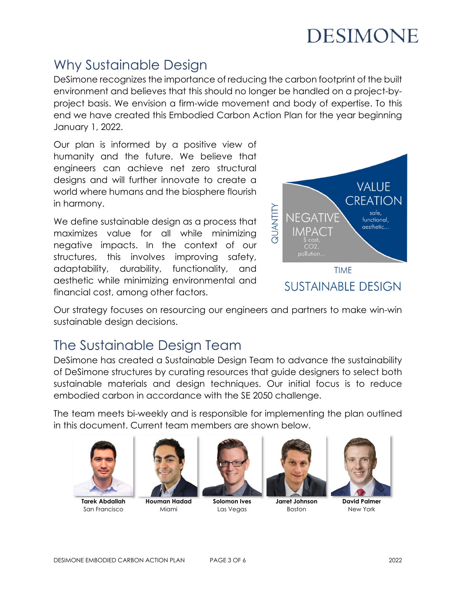### Why Sustainable Design

DeSimone recognizes the importance of reducing the carbon footprint of the built environment and believes that this should no longer be handled on a project-byproject basis. We envision a firm-wide movement and body of expertise. To this end we have created this Embodied Carbon Action Plan for the year beginning January 1, 2022.

Our plan is informed by a positive view of humanity and the future. We believe that engineers can achieve net zero structural designs and will further innovate to create a world where humans and the biosphere flourish in harmony.

We define sustainable design as a process that maximizes value for all while minimizing negative impacts. In the context of our structures, this involves improving safety, adaptability, durability, functionality, and aesthetic while minimizing environmental and financial cost, among other factors.



Our strategy focuses on resourcing our engineers and partners to make win-win sustainable design decisions.

### The Sustainable Design Team

DeSimone has created a Sustainable Design Team to advance the sustainability of DeSimone structures by curating resources that guide designers to select both sustainable materials and design techniques. Our initial focus is to reduce embodied carbon in accordance with the SE 2050 challenge.

The team meets bi-weekly and is responsible for implementing the plan outlined in this document. Current team members are shown below.



**Tarek Abdallah** San Francisco



**Houman Hadad** Miami



**Solomon Ives** Las Vegas



**Jarret Johnson** Boston



**David Palmer** New York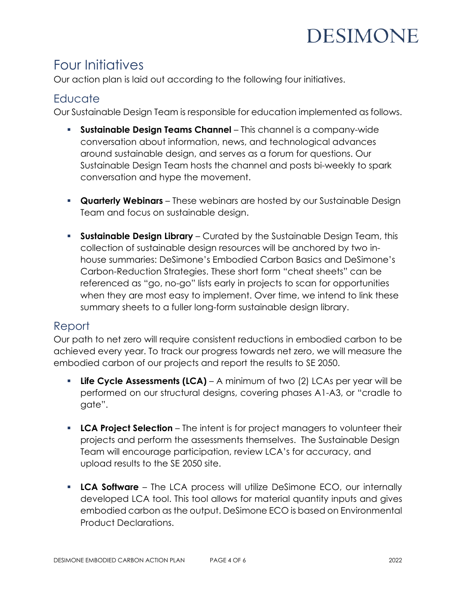### Four Initiatives

Our action plan is laid out according to the following four initiatives.

#### **Educate**

Our Sustainable Design Team is responsible for education implemented as follows.

- **Sustainable Design Teams Channel** This channel is a company-wide conversation about information, news, and technological advances around sustainable design, and serves as a forum for questions. Our Sustainable Design Team hosts the channel and posts bi-weekly to spark conversation and hype the movement.
- **Quarterly Webinars** These webinars are hosted by our Sustainable Design Team and focus on sustainable design.
- **Sustainable Design Library** Curated by the Sustainable Design Team, this collection of sustainable design resources will be anchored by two inhouse summaries: DeSimone's Embodied Carbon Basics and DeSimone's Carbon-Reduction Strategies. These short form "cheat sheets" can be referenced as "go, no-go" lists early in projects to scan for opportunities when they are most easy to implement. Over time, we intend to link these summary sheets to a fuller long-form sustainable design library.

#### Report

Our path to net zero will require consistent reductions in embodied carbon to be achieved every year. To track our progress towards net zero, we will measure the embodied carbon of our projects and report the results to SE 2050.

- **Life Cycle Assessments (LCA)** A minimum of two (2) LCAs per year will be performed on our structural designs, covering phases A1-A3, or "cradle to gate".
- **LCA Project Selection** The intent is for project managers to volunteer their projects and perform the assessments themselves. The Sustainable Design Team will encourage participation, review LCA's for accuracy, and upload results to the SE 2050 site.
- **LCA Software** The LCA process will utilize DeSimone ECO, our internally developed LCA tool. This tool allows for material quantity inputs and gives embodied carbon as the output. DeSimone ECO is based on Environmental Product Declarations.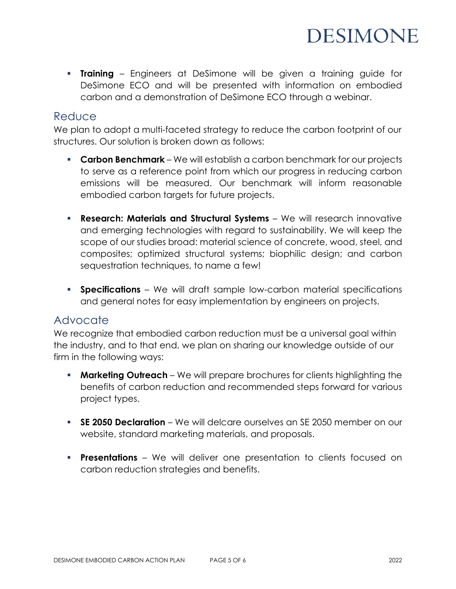**Training** – Engineers at DeSimone will be given a training guide for DeSimone ECO and will be presented with information on embodied carbon and a demonstration of DeSimone ECO through a webinar.

#### **Reduce**

We plan to adopt a multi-faceted strategy to reduce the carbon footprint of our structures. Our solution is broken down as follows:

- **Carbon Benchmark**  We will establish a carbon benchmark for our projects to serve as a reference point from which our progress in reducing carbon emissions will be measured. Our benchmark will inform reasonable embodied carbon targets for future projects.
- **Research: Materials and Structural Systems**  We will research innovative and emerging technologies with regard to sustainability. We will keep the scope of our studies broad: material science of concrete, wood, steel, and composites; optimized structural systems; biophilic design; and carbon sequestration techniques, to name a few!
- **Specifications**  We will draft sample low-carbon material specifications and general notes for easy implementation by engineers on projects.

#### Advocate

We recognize that embodied carbon reduction must be a universal goal within the industry, and to that end, we plan on sharing our knowledge outside of our firm in the following ways:

- **Marketing Outreach** We will prepare brochures for clients highlighting the benefits of carbon reduction and recommended steps forward for various project types.
- **SE 2050 Declaration**  We will delcare ourselves an SE 2050 member on our website, standard marketing materials, and proposals.
- **Presentations** We will deliver one presentation to clients focused on carbon reduction strategies and benefits.